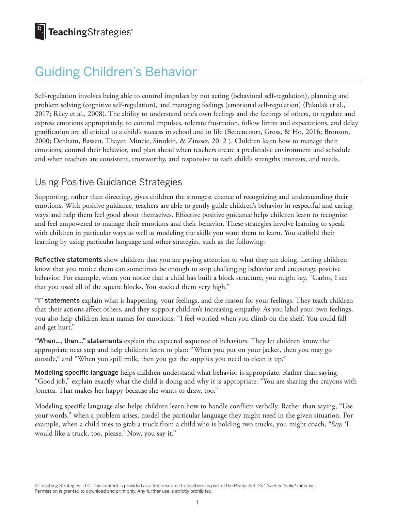# Guiding Children's Behavior

Self-regulation involves being able to control impulses by not acting (behavioral self-regulation), planning and problem solving (cognitive self-regulation), and managing feelings (emotional self-regulation) (Pakulak et al., 2017; Riley et al., 2008). The ability to understand one's own feelings and the feelings of others, to regulate and express emotions appropriately, to control impulses, tolerate frustration, follow limits and expectations, and delay gratification are all critical to a child's success in school and in life (Bettencourt, Gross, & Ho, 2016; Bronson, 2000; Denham, Bassett, Thayer, Mincic, Sirotkin, & Zinsser, 2012 ). Children learn how to manage their emotions, control their behavior, and plan ahead when teachers create a predictable environment and schedule and when teachers are consistent, trustworthy, and responsive to each child's strengths interests, and needs.

#### Using Positive Guidance Strategies

Supporting, rather than directing, gives children the strongest chance of recognizing and understanding their emotions. With positive guidance, teachers are able to gently guide children's behavior in respectful and caring ways and help them feel good about themselves. Effective positive guidance helps children learn to recognize and feel empowered to manage their emotions and their behavior. These strategies involve learning to speak with children in particular ways as well as modeling the skills you want them to learn. You scaffold their learning by using particular language and other strategies, such as the following:

Reflective statements show children that you are paying attention to what they are doing. Letting children know that you notice them can sometimes be enough to stop challenging behavior and encourage positive behavior. For example, when you notice that a child has built a block structure, you might say, "Carlos, I see that you used all of the square blocks. You stacked them very high."

"I" statements explain what is happening, your feelings, and the reason for your feelings. They teach children that their actions affect others, and they support children's increasing empathy. As you label your own feelings, you also help children learn names for emotions: "I feel worried when you climb on the shelf. You could fall and get hurt."

"When..., then..." statements explain the expected sequence of behaviors. They let children know the appropriate next step and help children learn to plan: "When you put on your jacket, then you may go outside," and "When you spill milk, then you get the supplies you need to clean it up."

Modeling specific language helps children understand what behavior is appropriate. Rather than saying, "Good job," explain exactly what the child is doing and why it is appropriate: "You are sharing the crayons with Jonetta. That makes her happy because she wants to draw, too."

Modeling specific language also helps children learn how to handle conflicts verbally. Rather than saying, "Use your words," when a problem arises, model the particular language they might need in the given situation. For example, when a child tries to grab a truck from a child who is holding two trucks, you might coach, "Say, 'I would like a truck, too, please.' Now, you say it."

© Teaching Strategies, LLC. This content is provided as a free resource to teachers as part of the *Ready. Set. Go! Teacher Toolkit* initiative. Permission is granted to download and print only. Any further use is strictly prohibited.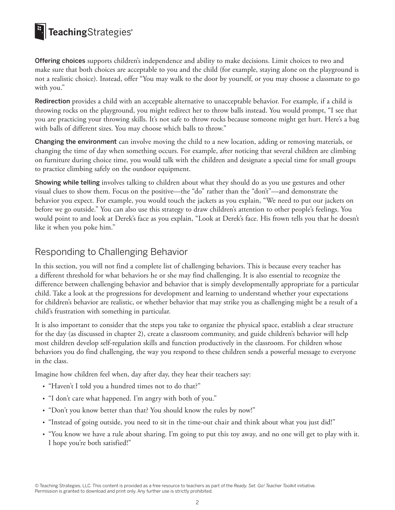## TeachingStrategies®

Offering choices supports children's independence and ability to make decisions. Limit choices to two and make sure that both choices are acceptable to you and the child (for example, staying alone on the playground is not a realistic choice). Instead, offer "You may walk to the door by yourself, or you may choose a classmate to go with you."

Redirection provides a child with an acceptable alternative to unacceptable behavior. For example, if a child is throwing rocks on the playground, you might redirect her to throw balls instead. You would prompt, "I see that you are practicing your throwing skills. It's not safe to throw rocks because someone might get hurt. Here's a bag with balls of different sizes. You may choose which balls to throw."

Changing the environment can involve moving the child to a new location, adding or removing materials, or changing the time of day when something occurs. For example, after noticing that several children are climbing on furniture during choice time, you would talk with the children and designate a special time for small groups to practice climbing safely on the outdoor equipment.

Showing while telling involves talking to children about what they should do as you use gestures and other visual clues to show them. Focus on the positive—the "do" rather than the "don't"—and demonstrate the behavior you expect. For example, you would touch the jackets as you explain, "We need to put our jackets on before we go outside." You can also use this strategy to draw children's attention to other people's feelings. You would point to and look at Derek's face as you explain, "Look at Derek's face. His frown tells you that he doesn't like it when you poke him."

#### Responding to Challenging Behavior

In this section, you will not find a complete list of challenging behaviors. This is because every teacher has a different threshold for what behaviors he or she may find challenging. It is also essential to recognize the difference between challenging behavior and behavior that is simply developmentally appropriate for a particular child. Take a look at the progressions for development and learning to understand whether your expectations for children's behavior are realistic, or whether behavior that may strike you as challenging might be a result of a child's frustration with something in particular.

It is also important to consider that the steps you take to organize the physical space, establish a clear structure for the day (as discussed in chapter 2), create a classroom community, and guide children's behavior will help most children develop self-regulation skills and function productively in the classroom. For children whose behaviors you do find challenging, the way you respond to these children sends a powerful message to everyone in the class.

Imagine how children feel when, day after day, they hear their teachers say:

- "Haven't I told you a hundred times not to do that?"
- "I don't care what happened. I'm angry with both of you."
- "Don't you know better than that? You should know the rules by now!"
- "Instead of going outside, you need to sit in the time-out chair and think about what you just did!"
- "You know we have a rule about sharing. I'm going to put this toy away, and no one will get to play with it. I hope you're both satisfied!"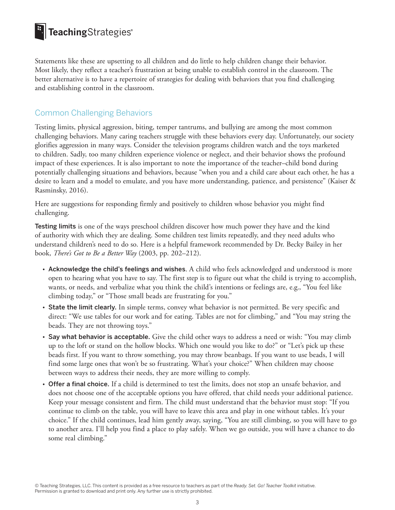## TeachingStrategies®

Statements like these are upsetting to all children and do little to help children change their behavior. Most likely, they reflect a teacher's frustration at being unable to establish control in the classroom. The better alternative is to have a repertoire of strategies for dealing with behaviors that you find challenging and establishing control in the classroom.

#### Common Challenging Behaviors

Testing limits, physical aggression, biting, temper tantrums, and bullying are among the most common challenging behaviors. Many caring teachers struggle with these behaviors every day. Unfortunately, our society glorifies aggression in many ways. Consider the television programs children watch and the toys marketed to children. Sadly, too many children experience violence or neglect, and their behavior shows the profound impact of these experiences. It is also important to note the importance of the teacher–child bond during potentially challenging situations and behaviors, because "when you and a child care about each other, he has a desire to learn and a model to emulate, and you have more understanding, patience, and persistence" (Kaiser & Rasminsky, 2016).

Here are suggestions for responding firmly and positively to children whose behavior you might find challenging.

Testing limits is one of the ways preschool children discover how much power they have and the kind of authority with which they are dealing. Some children test limits repeatedly, and they need adults who understand children's need to do so. Here is a helpful framework recommended by Dr. Becky Bailey in her book, *There's Got to Be a Better Way* (2003, pp. 202–212).

- Acknowledge the child's feelings and wishes. A child who feels acknowledged and understood is more open to hearing what you have to say. The first step is to figure out what the child is trying to accomplish, wants, or needs, and verbalize what you think the child's intentions or feelings are, e.g., "You feel like climbing today," or "Those small beads are frustrating for you."
- State the limit clearly. In simple terms, convey what behavior is not permitted. Be very specific and direct: "We use tables for our work and for eating. Tables are not for climbing," and "You may string the beads. They are not throwing toys."
- Say what behavior is acceptable. Give the child other ways to address a need or wish: "You may climb up to the loft or stand on the hollow blocks. Which one would you like to do?" or "Let's pick up these beads first. If you want to throw something, you may throw beanbags. If you want to use beads, I will find some large ones that won't be so frustrating. What's your choice?" When children may choose between ways to address their needs, they are more willing to comply.
- Offer a final choice. If a child is determined to test the limits, does not stop an unsafe behavior, and does not choose one of the acceptable options you have offered, that child needs your additional patience. Keep your message consistent and firm. The child must understand that the behavior must stop: "If you continue to climb on the table, you will have to leave this area and play in one without tables. It's your choice." If the child continues, lead him gently away, saying, "You are still climbing, so you will have to go to another area. I'll help you find a place to play safely. When we go outside, you will have a chance to do some real climbing."

© Teaching Strategies, LLC. This content is provided as a free resource to teachers as part of the *Ready. Set. Go! Teacher Toolkit* initiative. Permission is granted to download and print only. Any further use is strictly prohibited.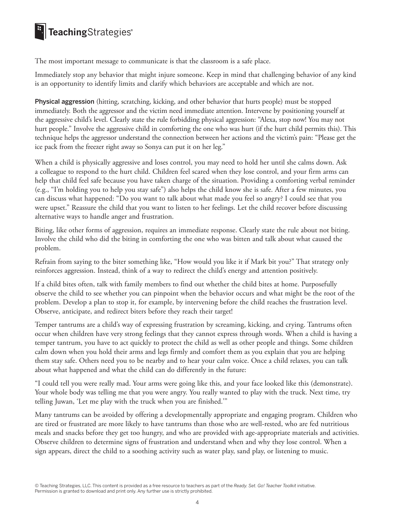## **E** TeachingStrategies<sup>®</sup>

The most important message to communicate is that the classroom is a safe place.

Immediately stop any behavior that might injure someone. Keep in mind that challenging behavior of any kind is an opportunity to identify limits and clarify which behaviors are acceptable and which are not.

Physical aggression (hitting, scratching, kicking, and other behavior that hurts people) must be stopped immediately. Both the aggressor and the victim need immediate attention. Intervene by positioning yourself at the aggressive child's level. Clearly state the rule forbidding physical aggression: "Alexa, stop now! You may not hurt people." Involve the aggressive child in comforting the one who was hurt (if the hurt child permits this). This technique helps the aggressor understand the connection between her actions and the victim's pain: "Please get the ice pack from the freezer right away so Sonya can put it on her leg."

When a child is physically aggressive and loses control, you may need to hold her until she calms down. Ask a colleague to respond to the hurt child. Children feel scared when they lose control, and your firm arms can help that child feel safe because you have taken charge of the situation. Providing a comforting verbal reminder (e.g., "I'm holding you to help you stay safe") also helps the child know she is safe. After a few minutes, you can discuss what happened: "Do you want to talk about what made you feel so angry? I could see that you were upset." Reassure the child that you want to listen to her feelings. Let the child recover before discussing alternative ways to handle anger and frustration.

Biting, like other forms of aggression, requires an immediate response. Clearly state the rule about not biting. Involve the child who did the biting in comforting the one who was bitten and talk about what caused the problem.

Refrain from saying to the biter something like, "How would you like it if Mark bit you?" That strategy only reinforces aggression. Instead, think of a way to redirect the child's energy and attention positively.

If a child bites often, talk with family members to find out whether the child bites at home. Purposefully observe the child to see whether you can pinpoint when the behavior occurs and what might be the root of the problem. Develop a plan to stop it, for example, by intervening before the child reaches the frustration level. Observe, anticipate, and redirect biters before they reach their target!

Temper tantrums are a child's way of expressing frustration by screaming, kicking, and crying. Tantrums often occur when children have very strong feelings that they cannot express through words. When a child is having a temper tantrum, you have to act quickly to protect the child as well as other people and things. Some children calm down when you hold their arms and legs firmly and comfort them as you explain that you are helping them stay safe. Others need you to be nearby and to hear your calm voice. Once a child relaxes, you can talk about what happened and what the child can do differently in the future:

"I could tell you were really mad. Your arms were going like this, and your face looked like this (demonstrate). Your whole body was telling me that you were angry. You really wanted to play with the truck. Next time, try telling Juwan, 'Let me play with the truck when you are finished.'"

Many tantrums can be avoided by offering a developmentally appropriate and engaging program. Children who are tired or frustrated are more likely to have tantrums than those who are well-rested, who are fed nutritious meals and snacks before they get too hungry, and who are provided with age-appropriate materials and activities. Observe children to determine signs of frustration and understand when and why they lose control. When a sign appears, direct the child to a soothing activity such as water play, sand play, or listening to music.